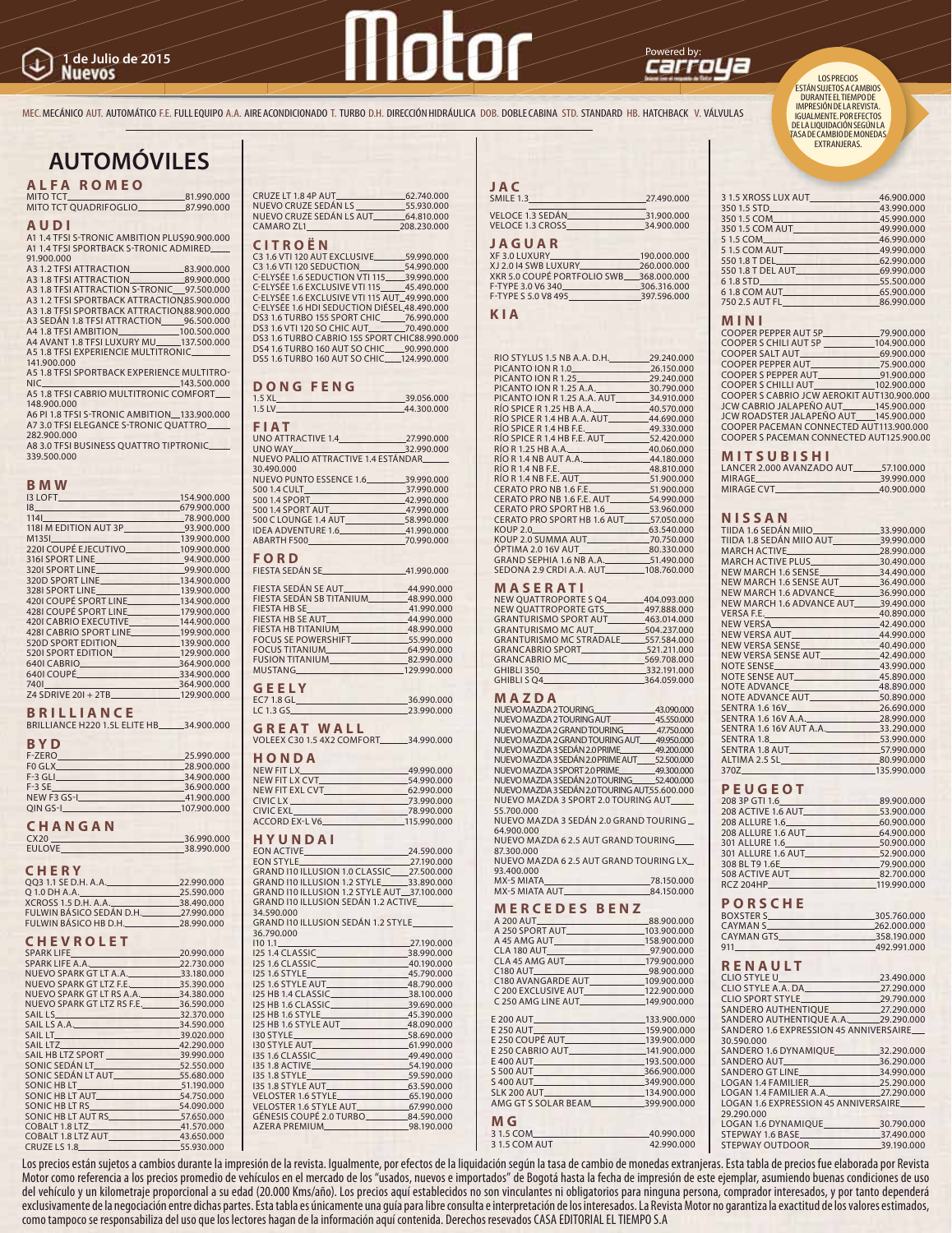# Powered by: **1 de Julio de 2015**

MEC. MECÁNICO AUT. AUTOMÁTICO F.E. FULL EQUIPO A.A. AIRE ACONDICIONADO T. TURBO D.H. DIRECCIÓN HIDRÁULICA DOB. DOBLE CABINA STD. STANDARD HB. HATCHBACK V. VÁLVULAS

## **AUTOMÓVILES**

**ALFA ROMEO**

MITO TCT 81.990.000 MITO TCT QUADRIFOGLIO 87.990.000

#### **AU DI**

A1 1.4 TFSI S-TRONIC AMBITION PLUS90.900.000<br>A1 1.4 TFSI SPORTBACK S-TRONIC ADMIRED\_<mark>\_\_\_\_</mark>

91.900.000<br>A3 1 2 TESLATTRACTION

A3 1.2 TFSI ATTRACTION\_\_\_\_\_\_\_\_\_\_\_\_\_\_\_83.900.000<br>A3 1.8 TFSI ATTRACTION\_\_\_\_\_\_\_\_\_\_\_\_\_\_\_\_\_\_\_89.900.000<br>A3 1.8 TFSI ATTRACTION S-TRONIC\_\_\_\_97.500.000 A3 1.2 TFSI SPORTBACK ATTRACTION 85.900.000 A3 1.8 TFSI SPORTBACK ATTRACTION 88.900.000 A3 SEDÁN 1.8 TFSI ATTRACTION<br>
A4 1.8 TFSI AMBITION<br>
100.500.000 A4 1.8 TFSI AMBITION\_\_\_\_\_\_\_\_\_\_\_\_\_\_100.500.000<br>A4 AVANT 1.8 TFSI LUXURY MU\_\_\_\_\_137.500.000<br>A5 1.8 TFSI EXPERIENCIE MULTITRONIC\_\_\_\_\_\_\_\_

141.900.000 A5 1.8 TFSI SPORTBACK EXPERIENCE MULTITRO-

NIC 143.500.000 A5 1.8 TFSI CABRIO MULTITRONIC COMFORT 148.900.000

A6 PI 1.8 TFSI S-TRONIC AMBITION\_\_133.900.000<br>A7 3.0 TFSI ELEGANCE S-TRONIC QUATTRO\_\_\_\_\_ 282.900.000

A8 3.0 TFSI BUSINESS QUATTRO TIPTRONIC 339.500.000

### **BMW**

| D IVI VV                                                                                                       |                |
|----------------------------------------------------------------------------------------------------------------|----------------|
| <b>I3 LOFT</b>                                                                                                 | 154,900,000    |
| $\frac{18}{2}$                                                                                                 | 679.900.000    |
| 1141                                                                                                           | 78.900.000     |
| 1181 M EDITION AUT 3P                                                                                          | 93.900.000     |
| M1351                                                                                                          | $-139.900.000$ |
| 2201 COUPÉ EJECUTIVO 109.900.000                                                                               |                |
| 3161 SPORT LINE 94.900.000                                                                                     |                |
| 3201 SPORT LINE 99.900.000                                                                                     |                |
| 320D SPORT LINE 134.900.000                                                                                    |                |
| 3281 SPORT LINE 139.900.000                                                                                    |                |
| <b>4201 COUPÉ SPORT LINE</b>                                                                                   | 134.900.000    |
| 4281 COUPÉ SPORT LINE 179.900.000                                                                              |                |
| 4201 CABRIO EXECUTIVE                                                                                          | 144.900.000    |
| 4281 CABRIO SPORT LINE                                                                                         | 199,900,000    |
| 520D SPORT EDITION 139.900.000                                                                                 |                |
| 5201 SPORT EDITION 129.900.000                                                                                 |                |
| 6401 CABRIO                                                                                                    | 364,900,000    |
| 6401 COUPÉ Entrepreneur de la courante de la courante de la courante de la courante de la courante de la coura | 334,900,000    |
| 7401                                                                                                           | 364,900,000    |
| Z4 SDRIVE 201 + 2TB.                                                                                           | 129,900,000    |
|                                                                                                                |                |

#### **BRILLIANCE**

| BRILLIANCE H220 1.5L ELITE HB |  | 34,900,000 |
|-------------------------------|--|------------|
|                               |  |            |

#### **BYD**

| F-ZERO      | 25.990.000  |
|-------------|-------------|
| FO GLX      | 28,900,000  |
| $F-3$ GLI   | 34,900,000  |
| $F-3SE$     | 36,900,000  |
| NEW F3 GS-I | 41,900,000  |
| $OIN$ GS-I  | 107,900,000 |

#### **CHANGAN**

CX20 36.990.000<br>EULOVE 38.990.000 EULOVE 38.990.000

#### **CHERY**

| 003 1.1 SE D.H. A.A.     | 22.990.000 |
|--------------------------|------------|
| O 1.0 DH A.A.            | 25.590.000 |
| XCROSS 1.5 D.H. A.A.     | 38.490.000 |
| FULWIN BÁSICO SEDÁN D.H. | 27,990,000 |
| FULWIN BÁSICO HB D.H.    | 28,990,000 |

#### **CHEV RO LET**

| SPARK LIFE <b>SPARK LIFE</b>           | 20.990.000 |
|----------------------------------------|------------|
| SPARK LIFE A.A. <b>SPARK LIFE A.A.</b> | 22.730.000 |
| NUEVO SPARK GT LT A.A. 33.180.000      |            |
| NUEVO SPARK GT LTZ F.E.                | 35.390.000 |
| NUEVO SPARK GT LT RS A.A. 34.380.000   |            |
| NUEVO SPARK GT LTZ RS F.E.             | 36.590.000 |
| SAILLS <b>SAILLS</b>                   | 32.370.000 |
| SAIL LS A.A.                           | 34.590.000 |
|                                        | 39.020.000 |
| SAIL LTZ 42.290.000                    |            |
|                                        |            |
| SONIC SEDÁN LT 20000                   |            |
| SONIC SEDÁN LT AUT                     | 55,680,000 |
| SONIC HB LT____                        | 51.190.000 |
| SONIC HB LT AUT                        | 54.750.000 |
| SONIC HB LT RS                         | 54.090.000 |
| SONIC HB LT AUT RS 57.650.000          |            |
| COBALT 1.8 LTZ 41.570.000              |            |
| COBALT 1.8 LTZ AUT 43.650.000          |            |
| CRUZE LS 1.8                           | 55.930.000 |
|                                        |            |

CRUZE LT 1.8 4P AUT
62.740.000
62.740.000
S
UEVO CRUZE SEDÁN LS
62.740.000
6 NUEVO CRUZE SEDÁN LS<br>NUEVO CRUZE SEDÁN LS<br>NUEVO CRUZE SEDÁN LS AUT 64 810 000 NUEVO CRUZE SEDAN LS AUT\_\_\_\_\_\_\_\_64.810.000<br>CAMARO ZL1\_\_\_\_\_\_\_\_\_\_\_\_\_\_\_\_\_\_\_\_\_\_\_\_\_\_208.230.000

## **CITROËN**<br>C316 VTI 120 AUT EXCLUSIVE

C3 1.6 VTI 120 AUT EXCLUSIVE 59.990.000 C3 1.6 VTI 120 SEDUCTION 54.990.000 C-ELYSÉE 1.6 SEDUCTION VTI 115 39.990.000 C-ELYSÉE 1.6 EXCLUSIVE VTI 115\_\_\_\_\_45.490.000<br>C-ELYSÉE 1.6 EXCLUSIVE VTI 115 AUT\_49.990.000 C-ELYSÉE 1.6 HDI SEDUCTION DIÉSEL 48.490.000 DS3 1.6 TURBO 155 SPORT CHIC 76.990.000 DS3 1.6 VTI 120 SO CHIC AUT\_\_\_\_\_\_\_\_70.490.000<br>DS3 1.6 TURBO CABRIO 155 SPORT CHIC88.990.000 DS4 1.6 TURBO 160 AUT SO CHIC 90.990.000 DS5 1.6 TURBO 160 AUT SO CHIC 124.990.000

#### **DONG FENG**

| 1.5 XL<br>39.056.000<br>1.5 LV<br>44.300.000 |  |
|----------------------------------------------|--|
|                                              |  |
| <b>The County</b><br><b>FIAT</b>             |  |
| UNO ATTRACTIVE 1.4 27.990.000                |  |
|                                              |  |
| UNO WAY 32.990.000                           |  |
| NUEVO PALIO ATTRACTIVE 1.4 ESTÁNDAR          |  |
| 30.490.000                                   |  |
| NUEVO PUNTO ESSENCE 1.6 39.990.000           |  |
|                                              |  |
|                                              |  |
|                                              |  |
| 500 C LOUNGE 1.4 AUT<br>58.990.000           |  |
| IDEA ADVENTURE 1.6 41.990.000                |  |
| ABARTH F500 70.990.000                       |  |
|                                              |  |
| <b>FORD</b>                                  |  |
| FIESTA SEDÁN SE 41.990.000                   |  |
|                                              |  |
|                                              |  |
| FIESTA SEDÁN SB TITANIUM 48.990.000          |  |
| FIESTA HB SE 41.990.000                      |  |
| FIESTA HB SE AUT <b>AUGE 144.990.000</b>     |  |
| EIECTA HR TITANIHA AR 000.000                |  |

|                        | 11 <i>.22</i> 0.000 |
|------------------------|---------------------|
| FIESTA HB TITANIUM     | 48,990,000          |
| FOCUS SE POWERSHIFT    | _55.990.000         |
| FOCUS TITANIUM         | 64.990.000          |
| <b>FUSION TITANIUM</b> | _82.990.000         |
| MUSTANG_               | 129,990,000         |
|                        |                     |

| <b>GEELY</b> |            |
|--------------|------------|
| EC7 1.8 GL.  | 36,990,000 |
|              |            |

|  | LC 1.3 GS.        |  |  |  |  | 23.990.000 |  |
|--|-------------------|--|--|--|--|------------|--|
|  | <b>GREAT WALL</b> |  |  |  |  |            |  |

VOLEEX C30 1.5 4X2 COMFORT 34.990.000

#### **HON DA**

| NEW FIT LX                                                                                                                                                                                                                           | 49.990.000                                         |
|--------------------------------------------------------------------------------------------------------------------------------------------------------------------------------------------------------------------------------------|----------------------------------------------------|
| NEW FIT LX CVT <b>AND THE STATE OF STATE OF STATE OF STATE OF STATE OF STATE OF STATE OF STATE OF STATE OF STATE OF STATE OF STATE OF STATE OF STATE OF STATE OF STATE OF STATE OF STATE OF STATE OF STATE OF STATE OF STATE OF </b> | 54.990.000                                         |
|                                                                                                                                                                                                                                      | 62,990,000                                         |
| CIVIC LX                                                                                                                                                                                                                             | 73.990.000                                         |
| CIVIC EXL<br><u> Maria Alemania (m. 1958)</u>                                                                                                                                                                                        | 78,990,000                                         |
| ACCORD EX-L V6                                                                                                                                                                                                                       | 115,990,000<br>the contract of the contract of the |
|                                                                                                                                                                                                                                      |                                                    |

#### **HYUN DAI**

| <b>EON STYLE</b> 27.190.000                             |  |
|---------------------------------------------------------|--|
| GRAND 110 ILLUSION 1.0 CLASSIC_27.500.000               |  |
| GRAND 110 ILLUSION 1.2 STYLE 33.890.000                 |  |
| GRAND 110 ILLUSION 1.2 STYLE AUT 37.100.000             |  |
| GRAND I10 ILLUSION SEDÁN 1.2 ACTIVE                     |  |
| 34 590 000                                              |  |
| GRAND I10 ILLUSION SEDÁN 1.2 STYLE                      |  |
| 36 790 000                                              |  |
| 27.190.000<br>1101.1                                    |  |
|                                                         |  |
|                                                         |  |
| I25 1.6 STYLE 45.790.000                                |  |
| 125 1.6 STYLE AUT<br>48.790.000                         |  |
|                                                         |  |
| I25 HB 1.6 CLASSIC 39.690.000                           |  |
|                                                         |  |
| 125 HB 1.6 STYLE AUT <b>48.090.000</b>                  |  |
|                                                         |  |
| 130 STYLE AUT <b>130 STYLE AUT </b> 61.990.000          |  |
| 135 1.6 CLASSIC 49.490.000                              |  |
| 135 1.8 ACTIVE 54.190.000                               |  |
| I35 1.8 STYLE. 59.590.000                               |  |
| 135 1.8 STYLE AUT <b>135 1.8 STYLE AUT  </b> 63.590.000 |  |
| VELOSTER 1.6 STYLE 65.190.000                           |  |
| VELOSTER 1.6 STYLE AUT<br>67.990.000                    |  |
| GÉNESIS COUPÉ 2.0 TURBO 84.590.000                      |  |
| AZERA PREMIUM 98.190.000                                |  |
|                                                         |  |

| JAC                                          |                          |
|----------------------------------------------|--------------------------|
| <b>SMILE 1.3</b>                             | 27.490.000               |
| <b>VELOCE 1.3 SEDÁN.</b><br>VELOCE 1.3 CROSS | 31,900,000<br>34,900,000 |
| <b>JAGUAR</b>                                |                          |

| XF 3.0 LUXURY               | 190.000.000 |
|-----------------------------|-------------|
| X J 2.0 14 SWB LUXURY       | 260,000,000 |
| XKR 5.0 COUPÉ PORTFOLIO SWB | 368,000,000 |
| F-TYPE 3.0 V6 340           | 306.316.000 |
| F-TYPE S 5.0 V8 495         | 397.596.000 |
|                             |             |

#### **KIA**

| RIO STYLUS 1.5 NB A.A. D.H. 29.240.000 |  |
|----------------------------------------|--|
| PICANTO ION R 1.0 26.150.000           |  |
| PICANTO ION R 1.25 29.240.000          |  |
| PICANTO ION R 1.25 A.A. 30.790.000     |  |
| PICANTO ION R 1.25 A.A. AUT 44.910.000 |  |
| RÍO SPICE R 1.25 HB A.A. 40.570.000    |  |
| RÍO SPICE R 1.4 HB A.A. AUT 44.690.000 |  |
| RÍO SPICE R 1.4 HB F.E. 49.330.000     |  |
| RÍO SPICE R 1.4 HB F.E. AUT 52.420.000 |  |
| RÍO R 1.25 HB A.A. 40.060.000          |  |
| RÍO R 1.4 NB AUT A.A. 44.180.000       |  |
| RÍO R 1.4 NB F.E. 48.810.000           |  |
| RÍO R 1.4 NB F.E. AUT 51.900.000       |  |
| CERATO PRO NB 1.6 F.E. 51.900.000      |  |
| CERATO PRO NB 1.6 F.E. AUT 84.990.000  |  |
| CERATO PRO SPORT HB 1.6 53.960.000     |  |
| CERATO PRO SPORT HB 1.6 AUT 57.050.000 |  |
|                                        |  |
| KOUP 2.0 SUMMA AUT 20 100750.000       |  |
| ÓPTIMA 2.0 16V AUT 80.330.000          |  |
| GRAND SEPHIA 1.6 NB A.A. 51.490.000    |  |
| SEDONA 2.9 CRDI A.A. AUT 108.760.000   |  |

#### **MASERATI**

| <b>NEW OUATTROPORTE S O4.</b>  | 404.093.000 |
|--------------------------------|-------------|
| NEW OUATTROPORTE GTS           | 497.888.000 |
| <b>GRANTURISMO SPORT AUT</b>   | 463.014.000 |
| <b>GRANTURISMO MC AUT.</b>     | 504.237.000 |
| <b>GRANTURISMO MC STRADALE</b> | 557,584,000 |
|                                | 521.211.000 |
|                                | 569.708.000 |
| GHIBLI 350                     | 332.191.000 |
| GHIBLI SO <sub>4</sub>         | 364.059.000 |
|                                |             |

#### **MAZ DA**

| NUEVO MAZDA 2 TOURING 200000                         |  |
|------------------------------------------------------|--|
| NUEVO MAZDA 2 TOURING AUT 45.550.000                 |  |
| NUEVO MAZDA 2 GRAND TOURING 47.750.000               |  |
| NUEVO MAZDA 2 GRAND TOURING AUT 49.950.000           |  |
| NUEVO MAZDA 3 SEDÁN 2.0 PRIME 49.200.000             |  |
| NUEVO MAZDA 3 SEDÁN 2.0 PRIME AUT_____52.500.000     |  |
| NUEVO MAZDA 3 SPORT 2.0 PRIME 49.300.000             |  |
| NUEVO MAZDA 3 SEDÁN 2.0 TOURING 52.400.000           |  |
| NUEVO MAZDA 3 SEDÁN 2.0 TOURING AUT 55.600.000       |  |
| NUEVO MAZDA 3 SPORT 2.0 TOURING AUT                  |  |
| 55,700,000                                           |  |
| NUEVO MAZDA 3 SEDÁN 2.0 GRAND TOURING _              |  |
| 64.900.000                                           |  |
| NUEVO MAZDA 62.5 AUT GRAND TOURING                   |  |
| 87.300.000                                           |  |
| NUEVO MAZDA 62.5 AUT GRAND TOURING LX                |  |
| 93.400.000                                           |  |
|                                                      |  |
| MX-5 MIATA AUT 84.150.000                            |  |
| <b>MERCEDES BENZ</b>                                 |  |
|                                                      |  |
| A 200 AUT 103.900.000<br>A 250 SPORT AUT 103.900.000 |  |
|                                                      |  |
| A 45 AMG AUT <b>158.900.000</b>                      |  |
| CLA 180 AUT. 97.900.000                              |  |
| CLA 45 AMG AUT_______________________179.900.000     |  |

| CLA 180 AUT 97.900.000                                                                                                                                                                                                            |
|-----------------------------------------------------------------------------------------------------------------------------------------------------------------------------------------------------------------------------------|
| CLA 45 AMG AUT <b>179.900.000</b>                                                                                                                                                                                                 |
| 98.900.000                                                                                                                                                                                                                        |
| C180 AVANGARDE AUT 109.900.000                                                                                                                                                                                                    |
| C 200 EXCLUSIVE AUT <b>122.900.000</b>                                                                                                                                                                                            |
| C 250 AMG LINE AUT <b>149.900.000</b>                                                                                                                                                                                             |
|                                                                                                                                                                                                                                   |
| E 200 AUT <b>E 200 AUT <sub>133.900.000</sub></b>                                                                                                                                                                                 |
|                                                                                                                                                                                                                                   |
| E 250 COUPÉ AUT <b>E 250 COUPÉ AUT LE 250 COUPÉ AUT LE 250 COUPÉ AUT LE 250 COUPÉ AUT LE 250 COUPÉ AUT LE 250 COUPÉ AUT LE 250 COUPÉ AUT LE 250 COUPÉ AUT LE 250 COUPÉ AUT LE 250 COUPÉ AUT LE 250 COUPÉ AUT LE 250 COUPÉ AUT</b> |
| E 250 CABRIO AUT 141.900.000                                                                                                                                                                                                      |
| E400 AUT <b>E400 AUT <sub>193.500.000</sub></b>                                                                                                                                                                                   |
| S 500 AUT 865900.000 366.900.000 300                                                                                                                                                                                              |
| S400 AUT 349,900.000                                                                                                                                                                                                              |
| SLK 200 AUT. 134.900.000                                                                                                                                                                                                          |
| AMG GT S SOLAR BEAM 399.900.000                                                                                                                                                                                                   |
|                                                                                                                                                                                                                                   |
|                                                                                                                                                                                                                                   |

3 1.5 COM 40.990.000<br>3 1.5 COM AUT 42.990.000

LOS PRECIOS ESTÁN SUJETOS A CAMBIOS DURANTE EL TIEMPO DE IMPRESIÓN DE LA REVISTA.

IGUALMENTE. POR EFECTOS DE LA LIQUIDACIÓN SEGÚN LA TASA DE CAMBIO DE MONEDAS EXTRANJERAS.

| 31.5 XROSS LUX AUT 46.900.000                                                                                                                                                                    |               |
|--------------------------------------------------------------------------------------------------------------------------------------------------------------------------------------------------|---------------|
| $3501.5$ STD                                                                                                                                                                                     | 43.990.000    |
| 350 1.5 COM 45.990.000                                                                                                                                                                           |               |
| 350 1.5 COM AUT                                                                                                                                                                                  | 49.990.000    |
| 5 1.5 COM 46.990.000                                                                                                                                                                             |               |
| 51.5 COM AUT 1.5 COM AUT 1.5 COM AUT 1.5 COM AUT 1.5 COM AUT 1.5 COM AUT 1.5 COM AUT 1.5 COM AUT 1.5 COM AUT 1.5 COM AUT 1.5 COM AUT 1.5 COM AUT 1.5 COM AUT 1.5 COM AUT 1.5 COM AUT 1.5 COM AUT |               |
| 550 1.8 T DEL                                                                                                                                                                                    | 62,990,000    |
| 550 1.8 T DEL AUT                                                                                                                                                                                | 69.990.000    |
| $61.8$ STD                                                                                                                                                                                       | 55.500.000    |
| 61.8 COM AUT                                                                                                                                                                                     | $-65.900.000$ |
| 750 2.5 AUT FL                                                                                                                                                                                   | 86,990,000    |
|                                                                                                                                                                                                  |               |

#### **MINI**

| COOPER PEPPER AUT 5P 2900.000                   |  |
|-------------------------------------------------|--|
| COOPER S CHILI AUT 5P ______________104.900.000 |  |
| COOPER SALT AUT 69.900.000                      |  |
| COOPER PEPPER AUT <b>1998</b> 75.900.000        |  |
| COOPER SPEPPER AUT 91.900.000                   |  |
| COOPER S CHILLI AUT <b>102.900.000</b>          |  |
| COOPER S CABRIO JCW AEROKIT AUT130.900.000      |  |
| JCW CABRIO JALAPEÑO AUT 145.900.000             |  |
| JCW ROADSTER JALAPEÑO AUT 145.900.000           |  |
| COOPER PACEMAN CONNECTED AUT113.900.000         |  |
| COOPER S PACEMAN CONNECTED AUT125,900.00        |  |
|                                                 |  |

#### **MIT SU BIS HI**

| LANCER 2.000 AVANZADO AUT                                     | 57.100.000 |
|---------------------------------------------------------------|------------|
| MIRAGE                                                        | 39.990.000 |
| MIRAGE CVT<br>the contract of the contract of the contract of | 40.900.000 |
|                                                               |            |

#### **NIS SAN**

| NEW MARCH 1.6 SENSE AUT<br>36.490.000 |                                                                                                                                                                                                                                                                                                           |
|---------------------------------------|-----------------------------------------------------------------------------------------------------------------------------------------------------------------------------------------------------------------------------------------------------------------------------------------------------------|
| NEW MARCH 1.6 ADVANCE 36.990.000      |                                                                                                                                                                                                                                                                                                           |
| NEW MARCH 1.6 ADVANCE AUT 39.490.000  |                                                                                                                                                                                                                                                                                                           |
|                                       |                                                                                                                                                                                                                                                                                                           |
|                                       |                                                                                                                                                                                                                                                                                                           |
|                                       |                                                                                                                                                                                                                                                                                                           |
|                                       |                                                                                                                                                                                                                                                                                                           |
|                                       |                                                                                                                                                                                                                                                                                                           |
|                                       |                                                                                                                                                                                                                                                                                                           |
|                                       |                                                                                                                                                                                                                                                                                                           |
|                                       |                                                                                                                                                                                                                                                                                                           |
|                                       |                                                                                                                                                                                                                                                                                                           |
|                                       |                                                                                                                                                                                                                                                                                                           |
|                                       |                                                                                                                                                                                                                                                                                                           |
|                                       |                                                                                                                                                                                                                                                                                                           |
|                                       |                                                                                                                                                                                                                                                                                                           |
|                                       |                                                                                                                                                                                                                                                                                                           |
| ALTIMA 2.5 SL 80.990.000              |                                                                                                                                                                                                                                                                                                           |
| 370Z                                  | 135.990.000                                                                                                                                                                                                                                                                                               |
|                                       | TIIDA 1.6 SEDÁN MIIO<br>TIIDA 1.8 SEDÁN MIIO AUT<br>39.990.000<br>NEW VERSA AUT<br>44.990.000<br>NOTE SENSE AUT <b>AUGUST:</b> 45.890.000<br>NOTE ADVANCE AUT 50.890.000<br>SENTRA 1.6 16V A.A. 28.990.000<br>SENTRA 1.6 16V AUT A.A. 33.290.000<br>SENTRA 1.8 53.990.000<br>SENTRA 1.8 AUT<br>57.990.000 |

#### **PEU GEOT**

| .              |                               |
|----------------|-------------------------------|
|                | 208 3P GTI 1.6 89.900.000     |
|                | 208 ACTIVE 1.6 AUT 53.900.000 |
|                | 208 ALLURE 1.6 60.900.000     |
|                | 208 ALLURE 1.6 AUT 64.900.000 |
| 301 ALLURE 1.6 | 50.900.000                    |
|                | 301 ALLURE 1.6 AUT 52.900.000 |
| 308 BL T9 1.6E | 79.900.000                    |
| 508 ACTIVE AUT | 82.700.000                    |
|                | 119.990.000                   |
|                |                               |

#### **P O R S C H E**

| <b>BOXSTER S</b> | 305.760.000 |
|------------------|-------------|
| CAYMAN S         | 262,000,000 |
| CAYMAN GTS       | 358,190,000 |
| 911              | 492,991,000 |
|                  |             |

#### **RENAULT**

|                                        | 23.490.000 |
|----------------------------------------|------------|
| CLIO STYLE A.A. DA 27.290.000          |            |
| CLIO SPORT STYLE 29.790.000            |            |
| SANDERO AUTHENTIQUE<br>27.290.000      |            |
| SANDERO AUTHENTIOUE A.A. 29.290.000    |            |
| SANDERO 1.6 EXPRESSION 45 ANNIVERSAIRE |            |
| 30.590.000                             |            |
| SANDERO 1.6 DYNAMIOUE 32.290.000       |            |
| SANDERO AUT 36.290.000                 |            |
|                                        |            |
| LOGAN 1.4 FAMILIER 25.290.000          |            |
| LOGAN 1.4 FAMILIER A.A. 27.290.000     |            |
| LOGAN 1.6 EXPRESSION 45 ANNIVERSAIRE   |            |
| 29.290.000                             |            |
| LOGAN 1.6 DYNAMIOUE 30.790.000         |            |
| STEPWAY 1.6 BASE 37.490.000            |            |
| STEPWAY OUTDOOR 39.190.000             |            |
|                                        |            |

Los precios están sujetos a cambios durante la impresión de la revista. Igualmente, por efectos de la liquidación según la tasa de cambio de monedas extranjeras. Esta tabla de precios fue elaborada por Revista Motor como referencia a los precios promedio de vehículos en el mercado de los "usados, nuevos e importados" de Bogotá hasta la fecha de impresión de este ejemplar, asumiendo buenas condiciones de uso del vehículo y un kilometraje proporcional a su edad (20.000 Kms/año). Los precios aquí establecidos no son vinculantes ni obligatorios para ninguna persona, comprador interesados, y por tanto dependerá exclusivamente de la negociación entre dichas partes. Esta tabla es únicamente una guía para libre consulta e interpretación de los interesados. La Revista Motor no garantiza la exactitud de los valores estimados, como tampoco se responsabiliza del uso que los lectores hagan de la información aquí contenida. Derechos resevados CASA EDITORIAL EL TIEMPO S.A

3 1.5 COM AUT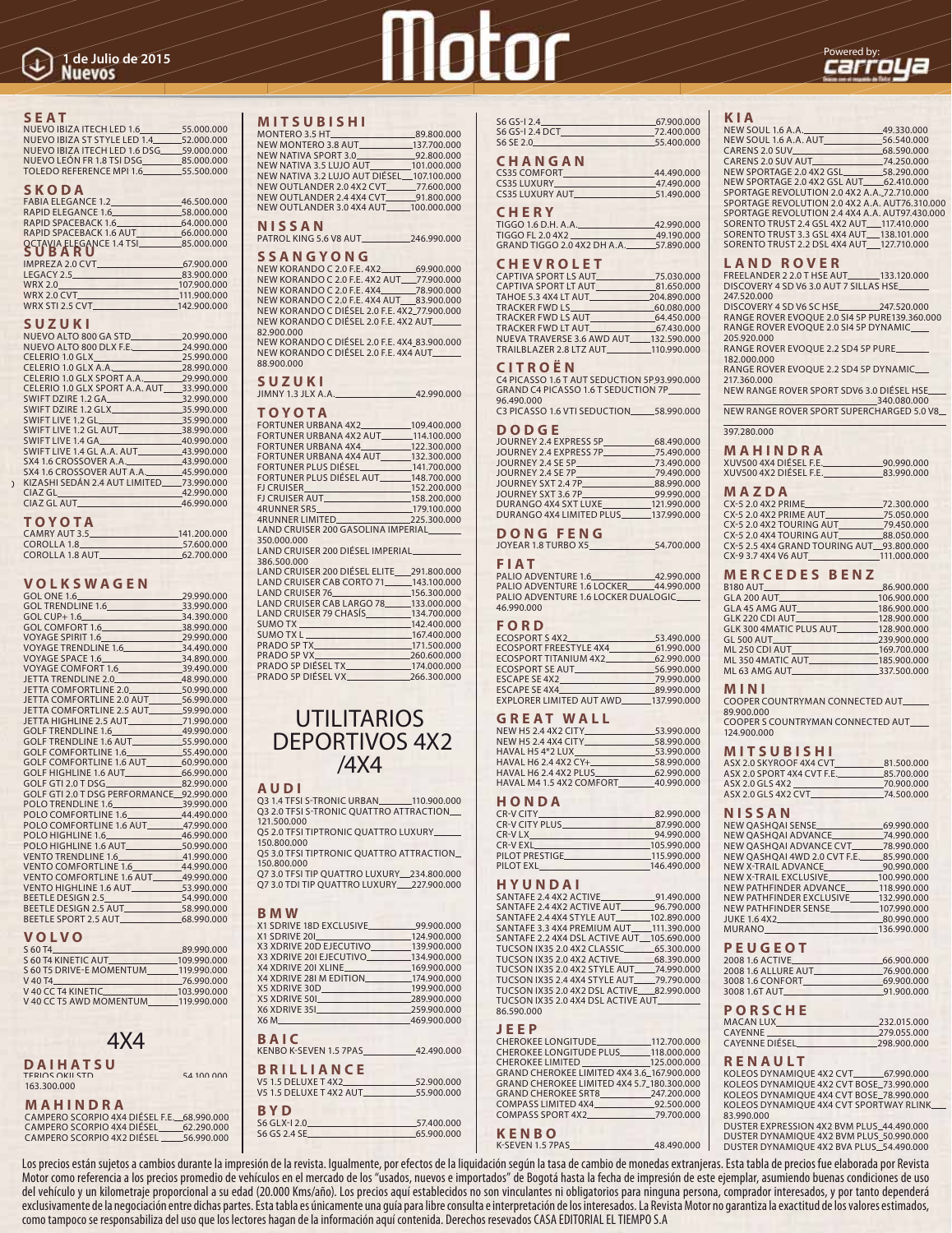#### **SEAT**

| NUEVO IBIZA ITECH LED 1.6      | 55,000,000 |
|--------------------------------|------------|
| NUEVO IBIZA ST STYLE LED 1.4   | 52.000.000 |
| NUEVO IBIZA ITECH LED 1.6 DSG  | 59,000,000 |
| NUEVO LEÓN FR 1.8 TSI DSG      | 85,000,000 |
| <b>TOLEDO REFERENCE MPL1.6</b> | 55.500.000 |
|                                |            |

#### **SKO DA**

| FABIA ELEGANCE 1.2            | 46.500.000 |
|-------------------------------|------------|
| RAPID ELEGANCE 1.6 58.000.000 |            |
| RAPID SPACEBACK 1.6           | 64.000.000 |
| RAPID SPACEBACK 1.6 AUT       | 66.000.000 |
|                               |            |
| <b>SUBARU</b><br>SUBARU       |            |
| IMPREZA 2.0 CVT               | 67,900,000 |
| LEGACY 2.5                    | 83.900.000 |
|                               |            |

| WRX 2.0         | 107.900.000 |
|-----------------|-------------|
| WRX 2.0 CVT     | 111.900.000 |
| WRX STI 2.5 CVT | 142,900,000 |
|                 |             |

#### **SUZUKI**

| NUEVO ALTO 800 GA STD. 20.990.000         |            |
|-------------------------------------------|------------|
| NUEVO ALTO 800 DLX F.E. 24.990.000        |            |
| CELERIO 1.0 GLX                           | 25,990,000 |
| CELERIO 1.0 GLX A.A. 28.990.000           |            |
| CELERIO 1.0 GLX SPORT A.A. 29.990.000     |            |
| CELERIO 1.0 GLX SPORT A.A. AUT 33.990.000 |            |
| SWIFT DZIRE 1.2 GA                        | 32,990,000 |
| SWIFT DZIRE 1.2 GLX                       | 35,990,000 |
| SWIFT LIVE 1.2 GL                         | 35.990.000 |
| SWIFT LIVE 1.2 GL AUT 88.990.000          |            |
| SWIFT LIVE 1.4 GA 40.990.000              |            |
| SWIFT LIVE 1.4 GL A.A. AUT 43.990.000     |            |
| SX4 1.6 CROSSOVER A.A. 43.990.000         |            |
| SX4 1.6 CROSSOVER AUT A.A. 45.990.000     |            |
| KIZASHI SEDÁN 2.4 AUT LIMITED 73.990.000  |            |
| CIAZGL                                    | 42.990.000 |
| CIAZ GL AUT                               | 46.990.000 |
|                                           |            |

#### **T O Y O T A**

 $\mathfrak{z}$ 

| 141.200.000 |  |
|-------------|--|
| 57.600.000  |  |
| 62.700.000  |  |
|             |  |

| GOL ONE 1.6 29.990.000                                    |  |
|-----------------------------------------------------------|--|
| GOL TRENDLINE 1.6 33.990.000                              |  |
| GOL CUP+ 1.6 34.390.000                                   |  |
| GOL COMFORT 1.6 38.990.000                                |  |
| VOYAGE SPIRIT 1.6. 29.990.000                             |  |
| VOYAGE TRENDLINE 1.6 34.490.000                           |  |
|                                                           |  |
| VOYAGE COMFORT 1.6 39.490.000                             |  |
|                                                           |  |
|                                                           |  |
| JETTA COMFORTLINE 2.0 AUT___________56.990.000            |  |
| JETTA COMFORTLINE 2.5 AUT<br>59.990.000                   |  |
| JETTA HIGHLINE 2.5 AUT____________71.990.000              |  |
| GOLF TRENDLINE 1.6.<br>GOLF TRENDLINE 1.6 AUT. 55.990.000 |  |
|                                                           |  |
|                                                           |  |
| GOLF COMFORTLINE 1.6 AUT 60.990.000                       |  |
| GOLF HIGHLINE 1.6 AUT________________66.990.000           |  |
| GOLF GTI 2.0 T DSG 82.990.000                             |  |
| GOLF GTI 2.0 T DSG PERFORMANCE 92.990.000                 |  |
| POLO TRENDLINE 1.6 39.990.000                             |  |
| POLO COMFORTLINE 1.6 44.490.000                           |  |
| POLO COMFORTLINE 1.6 AUT 47.990.000                       |  |
|                                                           |  |
| POLO HIGHLINE 1.6 AUT<br>50.990.000                       |  |
| VENTO TRENDLINE 1.6 41.990.000                            |  |
| VENTO COMFORTLINE 1.6_____________44.990.000              |  |
| VENTO COMFORTLINE 1.6 AUT<br>49.990.000                   |  |
| VENTO HIGHLINE 1.6 AUT<br>53.990.000                      |  |
|                                                           |  |
| BEETLE DESIGN 2.5 AUT 58.990.000                          |  |
| BEETLE SPORT 2.5 AUT<br>68.990.000                        |  |

#### **VOL VO**

| S 60 T4                  | 89.990.000  |
|--------------------------|-------------|
| S 60 T4 KINETIC AUT      | 109.990.000 |
| S 60 T5 DRIVE-E MOMENTUM | 119.990.000 |
| V 40 T4                  | 76.990.000  |
| V 40 CC T4 KINETIC       | 103.990.000 |
| V 40 CC T5 AWD MOMENTUM  | 119.990.000 |
|                          |             |

## 4X4

#### **DAI HAT SU** TERIOS OKII STD 54 100 000 163.300.000

#### **MAHINDRA**

CAMPERO SCORPIO 4X4 DIÉSEL F.E.\_\_68.990.000<br>CAMPERO SCORPIO 4X4 DIÉSEL\_\_\_\_\_\_62.290.000<br>CAMPERO SCORPIO 4X2 DIÉSEL \_\_\_\_\_\_56.990.000

# The Julio de 2015<br>Nuevos **Carrolla**



#### **MIT SU BIS HI**

| MONTERO 3.5 HT                             | 89.800.000 |
|--------------------------------------------|------------|
| NEW MONTERO 3.8 AUT___________137.700.000  |            |
| NEW NATIVA SPORT 3.0 92.800.000            |            |
| NEW NATIVA 3.5 LUJO AUT 101.000.000        |            |
| NEW NATIVA 3.2 LUJO AUT DIÉSEL 107.100.000 |            |
| NEW OUTLANDER 2.0 4X2 CVT 77.600.000       |            |
| NEW OUTLANDER 2.4 4X4 CVT 91.800.000       |            |
| NEW OUTLANDER 3.0 4X4 AUT 100.000.000      |            |
|                                            |            |
| <b>NISSAN</b>                              |            |

PATROL KING 5.6 V8 AUT
246.990.000

## **SSANGYONG**<br>NEW KORANDO C 2.0 E.E. 4X2

NEW KORANDO C 2.0 F.E. 4X2\_\_\_\_\_\_\_\_\_\_69.900.000<br>NEW KORANDO C 2.0 F.E. 4X2 AUT\_\_\_\_77.900.000 NEW KORANDO C 2.0 F.E. 4X4\_\_\_\_\_\_\_\_\_78.900.000<br>NEW KORANDO C 2.0 F.E. 4X4 AUT\_\_\_\_83.900.000 NEW KORANDO C DIÉSEL 2.0 F.E. 4X2 77.900.000 NEW KORANDO C DIÉSEL 2.0 F.E. 4X2 AUT 82.900.000

NEW KORANDO C DIÉSEL 2.0 F.E. 4X4 83.900.000 NEW KORANDO C DIÉSEL 2.0 F.E. 4X4 AUT 88.900.000

#### **SUZUKI**

JIMNY 1.3 JLX A.A. 42.990.000

#### **TO YO TA**

| .                                          |             |
|--------------------------------------------|-------------|
| FORTUNER URBANA 4X2                        | 109,400,000 |
| FORTUNER URBANA 4X2 AUT_______114.100.000  |             |
| FORTUNER URBANA 4X4 122.300.000            |             |
| FORTUNER URBANA 4X4 AUT 132.300.000        |             |
| FORTUNER PLUS DIÉSEL 141.700.000           |             |
| FORTUNER PLUS DIÉSEL AUT_______148.700.000 |             |
| <b>ELCRUISER</b>                           | 152,200,000 |
| FJ CRUISER AUT <b>EXECUTE:</b> 158.200.000 |             |
| 4RUNNER SR5 179.100.000                    |             |
| 4RUNNER LIMITED 225.300.000                |             |
| LAND CRUISER 200 GASOLINA IMPERIAL         |             |
| 350.000.000                                |             |
| LAND CRUISER 200 DIÉSEL IMPERIAL           |             |
| 386,500,000                                |             |

#### **VOLKS WA GEN**

| ww<br>.000<br>.000<br>.000<br>.000<br>.000<br>.000<br>.000 | 386.500.000<br>LAND CRUISER 200 DIÉSEL ELITE 291.800.000<br>LAND CRUISER CAB CORTO 71 143.100.000<br>LAND CRUISER 76. 156.300.000<br>LAND CRUISER CAB LARGO 78 _____ 133,000,000<br>LAND CRUISER 79 CHASÍS 134.700.000<br>SUMO TX 142.400.000<br>SUMO TX L 167.400.000<br>PRADO 5P VX 260.600.000 |  |
|------------------------------------------------------------|---------------------------------------------------------------------------------------------------------------------------------------------------------------------------------------------------------------------------------------------------------------------------------------------------|--|
| .000<br>.000<br>.000                                       | PRADO 5P DIÉSEL TX 174.000.000<br>PRADO 5P DIÉSEL VX 266.300.000                                                                                                                                                                                                                                  |  |

## UTILITARIOS DEPORTIVOS 4X2 /4X4

#### **AUDI**

Q3 1.4 TFSI S-TRONIC URBAN\_\_\_\_\_\_\_110.900.000<br>Q3 2.0 TFSI S-TRONIC QUATTRO ATTRACTION\_\_ 121.500.000

- Q5 2.0 TFSI TIPTRONIC QUATTRO LUXURY 150.800.000
- Q5 3.0 TFSI TIPTRONIC QUATTRO ATTRACTION 150.800.000
- Q7 3.0 TFSI TIP QUATTRO LUXURY\_\_234.800.000<br>Q7 3.0 TDI TIP QUATTRO LUXURY\_\_\_227.900.000

#### **BMW**

| D IVI VV                                    |            |
|---------------------------------------------|------------|
| X1 SDRIVE 18D EXCLUSIVE__________99.900.000 |            |
| X1 SDRIVE 201 124.900.000                   |            |
| X3 XDRIVE 20D EJECUTIVO 139.900.000         |            |
| X3 XDRIVE 201 EJECUTIVO_________134.900.000 |            |
| X4 XDRIVE 201 XLINE 169.900.000             |            |
| X4 XDRIVE 281 M EDITION 174.900.000         |            |
|                                             |            |
|                                             |            |
| X6 XDRIVE 351 259.900.000                   |            |
| X6 M 469.900.000                            |            |
|                                             |            |
| BAIC                                        |            |
| KENBO K-SEVEN 1.5 7PAS 42.490.000           |            |
|                                             |            |
| <b>BRILLIANCE</b>                           |            |
| V5 1.5 DELUXE T 4X2 52.900.000              |            |
| V5 1.5 DELUXE T 4X2 AUT 55.900.000          |            |
|                                             |            |
| BYD                                         |            |
| S6 GLX-12.0                                 | 57,400,000 |
| S6 GS 2.4 SE 65.900.000                     |            |

| $S6$ GS-12.4    | 67.900.000 |
|-----------------|------------|
| S6 GS-1 2.4 DCT | 72.400.000 |
| $S6$ SF 2 $0$   | 55.400.000 |
|                 |            |

#### **CHANGAN**

| CS35 COMFORT           | 44.490.000 |
|------------------------|------------|
|                        | 47.490.000 |
| <b>CS35 LUXURY AUT</b> | 51.490.000 |
| <b>CHERY</b>           |            |

| TIGGO 1.6 D.H. A.A.         | 42.990.000 |  |
|-----------------------------|------------|--|
| TIGGO FL 2.0 4X2            | 49.190.000 |  |
| GRAND TIGGO 2.0 4X2 DH A.A. | 57.890.000 |  |

#### **CHEV RO LET**

| CAPTIVA SPORT LS AUT.                  | -75.030.000 |
|----------------------------------------|-------------|
| <b>CAPTIVA SPORT LT AUT.</b>           | 81.650.000  |
| TAHOE 5.3 4X4 LT AUT                   | 204.890.000 |
| TRACKER FWD LS                         | 60.080.000  |
| <b>TRACKER FWD LS AUT_</b>             | 64.450.000  |
| TRACKER FWD LT AUT                     | 67.430.000  |
| NUEVA TRAVERSE 3.6 AWD AUT 132.590.000 |             |
| TRAILBLAZER 2.8 LTZ AUT 110.990.000    |             |
|                                        |             |

#### **CITROËN**

C4 PICASSO 1.6 T AUT SEDUCTION 5P 93.990.000 GRAND C4 PICASSO 1.6 T SEDUCTION 7P 96.490.000

C3 PICASSO 1.6 VTI SEDUCTION 58.990.000

#### **DODGE**

| JOURNEY 2.4 EXPRESS 5P   | 68,490,000  |
|--------------------------|-------------|
| JOURNEY 2.4 EXPRESS 7P   | 75.490.000  |
| JOURNEY 2.4 SE 5P        | 73.490.000  |
| JOURNEY 2.4 SE 7P        | 79,490,000  |
| JOURNEY SXT 2.4 7P       | 88.990.000  |
| JOURNEY SXT 3.6 7P       | 99.990.000  |
| DURANGO 4X4 SXT LUXE     | 121.990.000 |
| DURANGO 4X4 LIMITED PLUS | 137.990.000 |
|                          |             |

#### **DONG FENG**

| JOYEAR 1.8 TURBO X5 | 54,700,000 |
|---------------------|------------|
|                     |            |

### **FIAT**

PALIO ADVENTURE 1.6 42.990.000 PALIO ADVENTURE 1.6 LOCKER\_\_\_\_\_44.990.000<br>PALIO ADVENTURE 1.6 LOCKER DUALOGIC\_\_\_\_\_ 46.990.000

#### **FORD**

| <b>ECOSPORT S 4X2</b><br><u> 1950 - Henri Henri Hen</u> | 53,490,000 |
|---------------------------------------------------------|------------|
| <b>ECOSPORT FREESTYLE 4X4</b>                           | 61.990.000 |
| ECOSPORT TITANIUM 4X2                                   | 62.990.000 |
|                                                         | 56.990.000 |
| ESCAPE SE 4X2.                                          | 79.990.000 |
| ESCAPE SE 4X4                                           | 89.990.000 |
| EXPLORER LIMITED AUT AWD_______137.990.000              |            |
|                                                         |            |

#### **GREAT WALL**

| <b>NEW H5 2.4 4X2 CITY</b>                        | 53.990.000 |
|---------------------------------------------------|------------|
| <b>NEW H5 2.4 4X4 CITY</b>                        | 58.990.000 |
| HAVAL H54*2 LUX                                   | 53.990.000 |
| HAVAL H6 2.4 4X2 CY+                              | 58.990.000 |
| HAVAL H6 2.4 4X2 PLUS<br>the property of the con- | 62.990.000 |
| HAVAL M4 1.5 4X2 COMFORT                          | 40.990.000 |

#### **HON DA**

| 82.990.000  |
|-------------|
| 87,990,000  |
| 94.990.000  |
| 105.990.000 |
| 115.990.000 |
| 146.490.000 |
|             |

#### **HYUN DAI**

| SANTAFE 2.4 4X2 ACTIVE 91.490.000          |             |
|--------------------------------------------|-------------|
| SANTAFE 2.4 4X2 ACTIVE AUT 96.790.000      |             |
| SANTAFE 2.4 4X4 STYLE AUT                  | 102.890.000 |
| SANTAFE 3.3 4X4 PREMIUM AUT 111.390.000    |             |
| SANTAFE 2.2 4X4 DSL ACTIVE AUT 105.690.000 |             |
| TUCSON IX35 2.0 4X2 CLASSIC                | 65.300.000  |
| TUCSON IX35 2.0 4X2 ACTIVE 68.390.000      |             |
| TUCSON IX35 2.0 4X2 STYLE AUT 74.990.000   |             |
| TUCSON IX35 2.4 4X4 STYLE AUT 79.790.000   |             |
| TUCSON IX35 2.0 4X2 DSL ACTIVE 82.990.000  |             |
| TUCSON IX35 2.0 4X4 DSL ACTIVE AUT______   |             |
| 86.590.000                                 |             |
|                                            |             |

#### **JEEP**

| CHEROKEE LONGITUDE. 112.700.000                |  |
|------------------------------------------------|--|
| CHEROKEE LONGITUDE PLUS_______118.000.000      |  |
| CHEROKEE LIMITED 125.000.000                   |  |
| GRAND CHEROKEE LIMITED 4X4 3.6 167.900.000     |  |
| GRAND CHEROKEE LIMITED 4X4 5.7 180.300.000     |  |
| GRAND CHEROKEE SRT8 247.200.000                |  |
| COMPASS LIMITED 4X4_________________92.500.000 |  |
|                                                |  |
| $P = 100$                                      |  |
|                                                |  |

**KENBO** K-SEVEN 1.5 7PAS 48.490.000

#### **KIA**

| NEW SOUL 1.6 A.A. 49.330.000                   |  |
|------------------------------------------------|--|
| NEW SOUL 1.6 A.A. AUT<br>56.540.000            |  |
| CARENS 2.0 SUV<br>68.590.000                   |  |
| CARENS 2.0 SUV AUT<br>74.250.000               |  |
| NEW SPORTAGE 2.0 4X2 GSL__________58.290.000   |  |
| NEW SPORTAGE 2.0 4X2 GSL AUT 62.410.000        |  |
| SPORTAGE REVOLUTION 2.0 4X2 A.A. 72.710.000    |  |
| SPORTAGE REVOLUTION 2.0 4X2 A.A. AUT76.310.000 |  |
| SPORTAGE REVOLUTION 2.4 4X4 A.A. AUT97.430.000 |  |
| SORENTO TRUST 2.4 GSL 4X2 AUT 117.410.000      |  |
| SORENTO TRUST 3.3 GSL 4X4 AUT 138.101.000      |  |
| SORENTO TRUST 2.2 DSL 4X4 AUT 127.710.000      |  |
|                                                |  |

#### **L A N D R O V E R**

FREELANDER 2 2.0 T HSE AUT\_\_\_\_\_\_\_\_\_133.120.000 DISCOVERY 4 SD V6 3.0 AUT 7 SILLAS HSE 247.520.000

DISCOVERY 4 SD V6 SC HSE 247.520.000 RANGE ROVER EVOQUE 2.0 SI4 5P PURE 139.360.000 RANGE ROVER EVOQUE 2.0 SI4 5P DYNAMIC 205.920.000

RANGE ROVER EVOQUE 2.2 SD4 5P PURE 182.000.000

RANGE ROVER EVOQUE 2.2 SD4 5P DYNAMIC 217.360.000

NEW RANGE ROVER SPORT SDV6 3.0 DIÉSEL HSE 340.080.000 NEW RANGE ROVER SPORT SUPERCHARGED 5.0 V8

397.280.000

| MAHINDRA               |            |
|------------------------|------------|
| XUV500 4X4 DIÉSEL F.E. | 90.990.000 |
| XUV500 4X2 DIÉSEL F.E. | 83.990.000 |

#### **MAZDA**

| CX-5 2.0 4X2 PRIME  |                                           | 72.300.000  |
|---------------------|-------------------------------------------|-------------|
|                     | CX-5 2.0 4X2 PRIME AUT                    | 75.050.000  |
|                     | CX-5 2.0 4X2 TOURING AUT                  | 79.450.000  |
|                     | CX-5 2.0 4X4 TOURING AUT                  | 88.050.000  |
|                     | CX-5 2.5 4X4 GRAND TOURING AUT 93,800,000 |             |
| CX-9 3.7 4X4 V6 AUT |                                           | 111.000.000 |
|                     |                                           |             |

#### **MERCEDES BENZ**

|                                     | 86.900.000  |
|-------------------------------------|-------------|
| GLA 200 AUT                         | 106.900.000 |
| GLA 45 AMG AUT                      | 186.900.000 |
|                                     | 128.900.000 |
| GLK 300 4MATIC PLUS AUT 128.900.000 |             |
| GL 500 AUT                          | 239.900.000 |
| ML 250 CDI AUT                      | 169.700.000 |
| ML3504MATIC AUT 185.900.000         |             |
| ML 63 AMG AUT 337.500.000           |             |

#### **MINI**

COOPER COUNTRYMAN CONNECTED AUT 89.900.000

COOPER S COUNTRYMAN CONNECTED AUT 124.900.000

#### **MITSUBISHI**

| ASX 2.0 SKYROOF 4X4 CVT    | 81.500.000 |
|----------------------------|------------|
| ASX 2.0 SPORT 4X4 CVT F.E. | 85.700.000 |
| ASX 2.0 GLS 4X2            | 70.900.000 |
| ASX 2.0 GLS 4X2 CVT        | 74.500.000 |
|                            |            |

#### **NIS SAN**

| NEW QASHQAI SENSE                       | 69.990.000  |
|-----------------------------------------|-------------|
|                                         | 74.990.000  |
| NEW OASHOAI ADVANCE CVT 78.990.000      |             |
| NEW OASHOAI 4WD 2.0 CVT F.E. 85.990.000 |             |
| NEW X-TRAIL ADVANCE                     | 90.990.000  |
| NEW X-TRAIL EXCLUSIVE                   | 100.990.000 |
| NEW PATHFINDER ADVANCE 118.990.000      |             |
| NEW PATHFINDER EXCLUSIVE 132.990.000    |             |
| <b>NEW PATHFINDER SENSE</b>             | 107.990.000 |
|                                         | 80.990.000  |
| MURANO____                              | 136.990.000 |
|                                         |             |

#### **PEUGEOT**

| 66.900.000 |
|------------|
| 76.900.000 |
| 69.900.000 |
| 91.900.000 |
|            |

#### **PORS CHE**

| 232.015.000 |
|-------------|
| 279.055.000 |
| 298,900,000 |
|             |

#### **RENAULT**

KOLEOS DYNAMIQUE 4X2 CVT.67.990.000 KOLEOS DYNAMIQUE 4X2 CVT BOSE\_73.990.000<br>KOLEOS DYNAMIQUE 4X4 CVT BOSE\_78.990.000 KOLEOS DYNAMIQUE 4X4 CVT SPORTWAY RLINK 83.990.000

DUSTER EXPRESSION 4X2 BVM PLUS\_44.490.000 DUSTER DYNAMIQUE 4X2 BVM PLUS 50.990.000 DUSTER DYNAMIQUE 4X2 BVA PLUS\_54.490.000

Los precios están sujetos a cambios durante la impresión de la revista. Igualmente, por efectos de la liquidación según la tasa de cambio de monedas extranjeras. Esta tabla de precios fue elaborada por Revista Motor como referencia a los precios promedio de vehículos en el mercado de los "usados, nuevos e importados" de Bogotá hasta la fecha de impresión de este ejemplar, asumiendo buenas condiciones de uso del vehículo y un kilometraje proporcional a su edad (20.000 Kms/año). Los precios aquí establecidos no son vinculantes ni obligatorios para ninguna persona, comprador interesados, y por tanto dependerá exclusivamente de la negociación entre dichas partes. Esta tabla es únicamente una guía para libre consulta e interpretación de los interesados. La Revista Motor no garantiza la exactitud de los valores estimados, como tampoco se responsabiliza del uso que los lectores hagan de la información aquí contenida. Derechos resevados CASA EDITORIAL EL TIEMPO S.A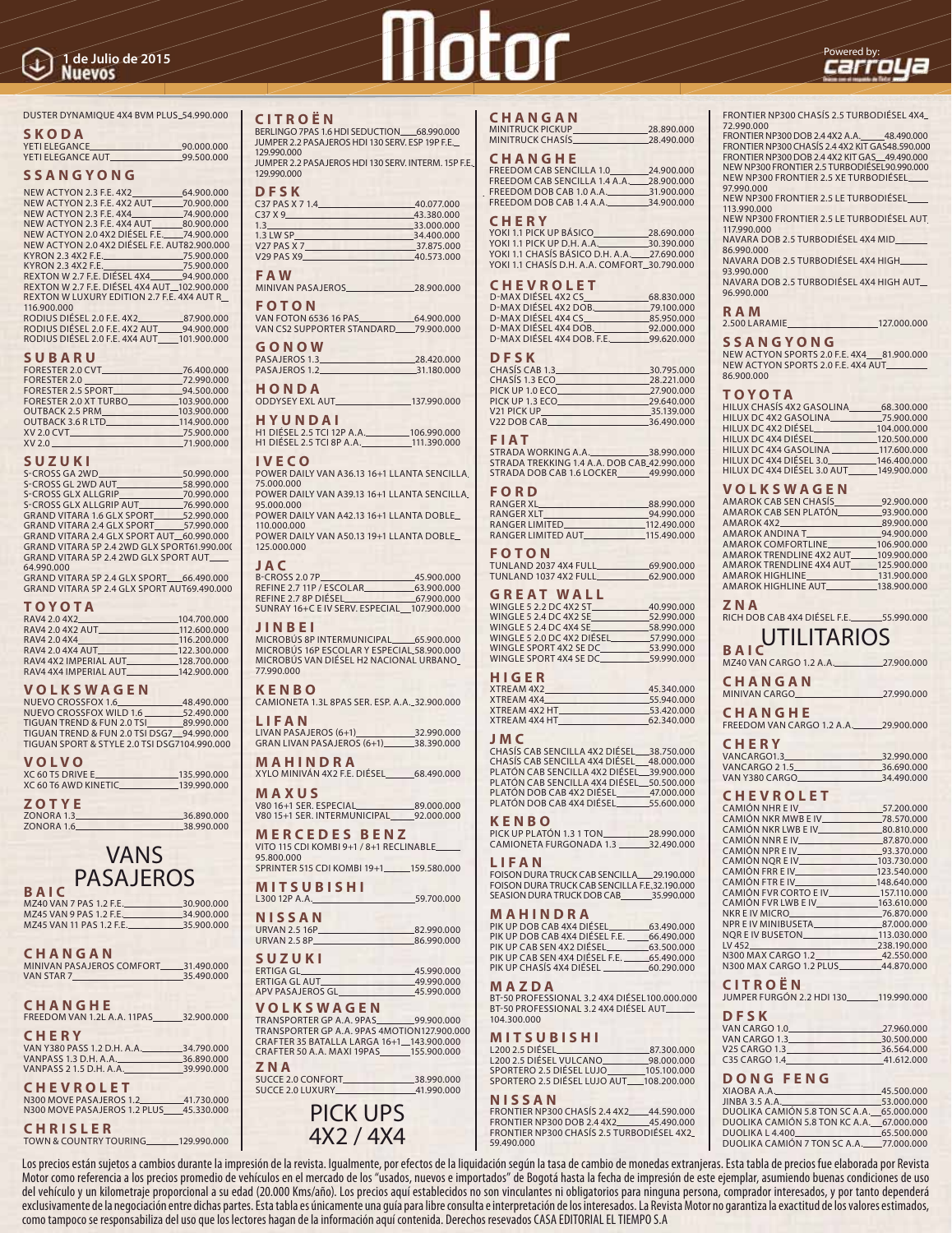# The Julio de 2015<br>Nuevose **Carro La**



#### DUSTER DYNAMIQUE 4X4 BVM PLUS 54.990.000

#### **SKODA**

YETI ELEGANCE 90.000.000 YETI ELEGANCE AUT 99.500.000

#### **SSANGYONG**

| NEW ACTYON 2.3 F.E. 4X2                      | 64.900.000 |
|----------------------------------------------|------------|
| NEW ACTYON 2.3 F.E. 4X2 AUT                  | 70.900.000 |
| NEW ACTYON 2.3 F.E. 4X4                      | 74.900.000 |
| NEW ACTYON 2.3 F.E. 4X4 AUT 80.900.000       |            |
| NEW ACTYON 2.0 4X2 DIÉSEL F.E. 74.900.000    |            |
| NEW ACTYON 2.0 4X2 DIÉSEL F.E. AUT82.900.000 |            |
| KYRON 2.3 4X2 F.E.                           | 75,900,000 |
|                                              |            |
| REXTON W 2.7 F.E. DIÉSEL 4X4 94.900.000      |            |
| REXTON W 2.7 F.E. DIÉSEL 4X4 AUT_102.900.000 |            |
| REXTON W LUXURY EDITION 2.7 F.E. 4X4 AUT R   |            |
| 116.900.000                                  |            |
| RODIUS DIÉSEL 2.0 F.E. 4X2_                  | 87,900,000 |
| RODIUS DIÉSEL 2.0 F.E. 4X2 AUT 94.900.000    |            |
| RODIUS DIÉSEL 2.0 F.E. 4X4 AUT 101.900.000   |            |
|                                              |            |

#### **SU BA RU**

|                                               | .76.400.000 |
|-----------------------------------------------|-------------|
| FORESTER 2.0                                  | 72.990.000  |
|                                               |             |
| FORESTER 2.0 XT TURBO 103.900.000             |             |
| OUTBACK 2.5 PRM. 103.900.000                  |             |
| OUTBACK 3.6 R LTD_________________114.900.000 |             |
|                                               |             |
| XV 2.0 71.900.000                             |             |
|                                               |             |

#### **SUZUKI**

| S-CROSS GA 2WD                                    | 50.990.000 |
|---------------------------------------------------|------------|
| S-CROSS GL 2WD AUT 58.990.000                     |            |
| S-CROSS GLX ALLGRIP                               | 70.990.000 |
| S-CROSS GLX ALLGRIP AUT S-CROSS GLX ALLGRIP AUT S |            |
| GRAND VITARA 1.6 GLX SPORT 52.990.000             |            |
| GRAND VITARA 2.4 GLX SPORT 57.990.000             |            |
| GRAND VITARA 2.4 GLX SPORT AUT 60.990.000         |            |
| GRAND VITARA 5P 2.4 2WD GLX SPORT61.990.000       |            |
| GRAND VITARA 5P 2.4 2WD GLX SPORT AUT.            |            |
| 64.990.000                                        |            |
| GRAND VITARA 5P 2 4 GLY SPORT 66 490 000          |            |

GRAND VITARA 5P 2.4 GLX SPORT\_\_\_\_66.490.000<br>GRAND VITARA 5P 2.4 GLX SPORT AUT69.490.000

#### **TO YO TA**

| RAV4 2.0 4X2          | 104.700.000 |
|-----------------------|-------------|
| RAV4 2.0 4X2 AUT      | 112,600,000 |
| RAV4 2.0 4X4          | 116.200.000 |
| RAV4 2.0 4X4 AUT      | 122.300.000 |
| RAV4 4X2 IMPERIAL AUT | 128,700,000 |
| RAV4 4X4 IMPERIAL AUT | 142.900.000 |

#### **VOL KSWAGEN**

| <b>VOLVO</b>                                 |            |
|----------------------------------------------|------------|
| TIGUAN SPORT & STYLE 2.0 TSI DSG7104.990.000 |            |
| TIGUAN TREND & FUN 2.0 TSI DSG7 94.990.000   |            |
| TIGUAN TREND & FUN 2.0 TSI 89.990.000        |            |
| NUEVO CROSSFOX WILD 1.6 52.490.000           |            |
| NUEVO CROSSFOX 1.6                           | 48.490.000 |

| .                    |             |
|----------------------|-------------|
| XC 60 T5 DRIVE E     | 135.990.000 |
| XC 60 T6 AWD KINETIC | 139.990.000 |
|                      |             |

#### **ZOTYE**

ZONORA 1.3 36.890.000 ZONORA 1.6 38.990.000

## VANS **PASAJEROS**

| MZ40 VAN 7 PAS 1.2 F.E.  | 30.900.000 |
|--------------------------|------------|
| MZ45 VAN 9 PAS 1.2 F.E.  | 34.900.000 |
| MZ45 VAN 11 PAS 1.2 F.E. | 35,900,000 |
|                          |            |

| CHANGAN                              |            |
|--------------------------------------|------------|
| MINIVAN PASAJEROS COMEORT 31.490.000 |            |
| VAN STAR 7                           | 35.490.000 |

#### **CHANGHE**

FREEDOM VAN 1.2L A.A. 11PAS 32.900.000

## **CHERY**

| VAN Y380 PASS 1.2 D.H. A.A. | 34.790.000 |
|-----------------------------|------------|
| VANPASS 1.3 D.H. A.A.       | 36.890.000 |
| VANPASS 2 1.5 D.H. A.A.     | 39.990.000 |
|                             |            |

#### **CHEVROLET**

N300 MOVE PASAJEROS 1.2\_\_\_\_\_\_\_\_\_\_41.730.000<br>N300 MOVE PASAJEROS 1.2 PLUS\_\_\_\_45.330.000

**CHRISLER** TOWN & COUNTRY TOURING 129.990.000

#### **CI TROËN**

| BERLINGO 7PAS 1.6 HDI SEDUCTION 68.990.000          |
|-----------------------------------------------------|
| JUMPER 2.2 PASAJEROS HDI 130 SERV. ESP 19P F.E.     |
| 129,990,000                                         |
| JUMPER 2.2 PASAJEROS HDI 130 SERV. INTERM. 15P F.E. |
| 129,990,000                                         |
|                                                     |
| <b>DFSK</b>                                         |
| C37 PAS X 7 1.4<br>40.077.000                       |

| C37X9              | 43.380.000 |
|--------------------|------------|
| 13                 | 33,000,000 |
| <b>1.3 LW SP</b>   | 34.400.000 |
| <b>V27 PAS X 7</b> | 37.875.000 |
| <b>V29 PAS X9</b>  | 40.573.000 |
|                    |            |

#### **FAW**

MINIVAN PASAJEROS 28.900.000 **FOTON**

| .                                     |            |
|---------------------------------------|------------|
| VAN FOTON 6536 16 PAS                 | 64.900.000 |
| VAN CS2 SUPPORTER STANDARD 79.900.000 |            |
|                                       |            |

### **GONOW**

| <b>PASAJEROS 1.3</b> | 28.420.000 |
|----------------------|------------|
| <b>PASAJEROS 1.2</b> | 31.180.000 |
|                      |            |
| HONDA                |            |

| ODDYSEY EXL AUT | 137,990,000 |
|-----------------|-------------|
| HYUNDAI         |             |

| .                                 |             |
|-----------------------------------|-------------|
| <b>H1 DIÉSEL 2.5 TCI 12P A.A.</b> | 106.990.000 |
| H1 DIÉSEL 2.5 TCI 8P A.A.         | 111.390.000 |
|                                   |             |

#### **IVECO**

POWER DAILY VAN A36.13 16+1 LLANTA SENCILLA 75.000.000 POWER DAILY VAN A39.13 16+1 LLANTA SENCILLA

95.000.000 POWER DAILY VAN A42.13 16+1 LLANTA DOBLE 110.000.000

POWER DAILY VAN A50.13 19+1 LLANTA DOBLE 125.000.000

#### **JAC**

B-CROSS 2.0 7P 45.900.000 REFINE 2.7 11P / ESCOLAR 63.900.000 REFINE 2.7 8P DIÉSEL 67.900.000 SUNRAY 16+C E IV SERV. ESPECIAL 107.900.000

## **JINBEI**<br>MICROBI<sup>S</sup> SPINTERMUNICIPAL

MICROBUS 8P INTERMUNICIPAL\_\_\_\_\_\_65.900.000<br>MICROBÚS 16P ESCOLAR Y ESPECIAL\_58.900.000 MICROBÚS VAN DIÉSEL H2 NACIONAL URBANO 77.990.000

#### **KENBO**

| CAMIONETA 1.3L 8PAS SER, ESP, A.A. 32.900.000 |  |
|-----------------------------------------------|--|
| LIFAN                                         |  |

| -----                             |            |
|-----------------------------------|------------|
| LIVAN PASAJEROS (6+1)             | 32.990.000 |
| <b>GRAN LIVAN PASAJEROS (6+1)</b> | 38.390.000 |
|                                   |            |

#### **MAHINDRA**

| XYLO MINIVAN 4X2 F.E. DIESEL | 68.490.000  |
|------------------------------|-------------|
| MAXUS                        |             |
| V80 16+1 SER, ESPECIAL       | _89.000.000 |

V80 16+1 SER. ESPECIAL\_\_\_\_\_\_\_\_\_\_\_\_\_\_89.000.000<br>V80 15+1 SER. INTERMUNICIPAL\_\_\_\_\_\_92.000.000 **MERCEDES BENZ**

#### VITO 115 CDI KOMBI 9+1 / 8+1 RECLINABLE 95.800.000

SPRINTER 515 CDI KOMBI 19+1 159.580.000

#### **MITSUBISHI** L300 12P A.A. 59.700.000

| <b>NISSAN</b>        |            |
|----------------------|------------|
| <b>URVAN 2.5 16P</b> | 82.990.000 |
| <b>URVAN 2.5 8P.</b> | 86.990.000 |

#### **SUZUKI** ERTIGA GL 45.990.000 ERTIGA GL AUT 49.990.000

| LIIIUA JLAVI.           | __________ |
|-------------------------|------------|
| <b>APV PASAJEROS GL</b> | 45.990.000 |
| <b>VOLKSWAGEN</b>       |            |

#### TRANSPORTER GP A.A. 9PAS 99.900.000 TRANSPORTER GP A.A. 9PAS 4MOTION127.900.000<br>CRAFTER 35 BATALLA LARGA 16+1\_143.900.000 CRAFTER 50 A.A. MAXI 19PAS 155.900.000

**ZNA** SUCCE 2.0 CONFORT 38.990.000<br>SUCCE 2.0 LUXURY 41 990 000 SUCCE 2.0 LUXURY\_



como tampoco se responsabiliza del uso que los lectores hagan de la información aquí contenida. Derechos resevados CASA EDITORIAL EL TIEMPO S.A

|  | CHANGAN |  |
|--|---------|--|

MINITRUCK PICKUP<br>MINITRUCK CHASIS 28.490.000 MINITRUCK CHASÍS

#### **CHANGHE**

| FREEDOM CAB SENCILLA 1.0      | 24,900,000 |
|-------------------------------|------------|
| FREEDOM CAB SENCILLA 1.4 A.A. | 28.900.000 |
| FREEDOM DOB CAB 1.0 A.A.      | 31,900,000 |
| FREEDOM DOB CAB 1.4 A.A.      | 34,900,000 |
|                               |            |

#### **CHERY**

| YOKI 1.1 PICK UP BÁSICO                      | 28.690.000 |
|----------------------------------------------|------------|
| YOKI 1.1 PICK UP D.H. A.A.                   | 30.390.000 |
| YOKI 1.1 CHASÍS BÁSICO D.H. A.A. 27.690.000  |            |
| YOKI 1.1 CHASÍS D.H. A.A. COMEORT 30.790.000 |            |
|                                              |            |

#### **CHEVROLET**

| 68.830.000 |
|------------|
| 79.100.000 |
| 85.950.000 |
| 92.000.000 |
| 99.620.000 |
|            |

#### **DFSK**

| CHASÍS CAB 1.3.         | 30.795.000 |
|-------------------------|------------|
| CHASÍS 1.3 ECO          | 28.221.000 |
| PICK UP 1.0 ECO         | 27,900,000 |
| PICK UP 1.3 ECO         | 29.640.000 |
| V <sub>21</sub> PICK UP | 35.139.000 |
| V <sub>22</sub> DOB CAB | 36.490.000 |
|                         |            |

#### **FIAT**

| STRADA WORKING A.A.                         | 38.990.000 |
|---------------------------------------------|------------|
| STRADA TREKKING 1.4 A.A. DOB CAB 42.990.000 |            |
| STRADA DOB CAB 1.6 LOCKER                   | 49.990.000 |

#### **FORD**

| 88.990.000  |
|-------------|
| 94.990.000  |
| 112,490,000 |
| 115.490.000 |
|             |

#### **FOTON**

| TUNLAND 2037 4X4 FULL | 69.900.000 |
|-----------------------|------------|
| TUNLAND 1037 4X2 FULL | 62.900.000 |
|                       |            |

#### **GREAT WALL**

| WINGLE 5 2.2 DC 4X2 ST     | 40.990.000 |
|----------------------------|------------|
| WINGLE 5 2.4 DC 4X2 SE     | 52.990.000 |
| WINGLE 5 2.4 DC 4X4 SE     | 58.990.000 |
| WINGLE 5 2.0 DC 4X2 DIÉSEL | 57.990.000 |
| WINGLE SPORT 4X2 SE DC     | 53.990.000 |
| WINGLE SPORT 4X4 SE DC.    | 59.990.000 |
|                            |            |

#### **HIGER**

| 45.340.000 |
|------------|
| 55.940.000 |
| 53.420.000 |
| 62.340.000 |
|            |

#### **JMC**

| CHASÍS CAB SENCILLA 4X2 DIÉSEL            | 38.750.000    |
|-------------------------------------------|---------------|
| CHASÍS CAB SENCILLA 4X4 DIÉSEL.           | $-48,000,000$ |
| PLATÓN CAB SENCILLA 4X2 DIÉSEL 39.900.000 |               |
| PLATÓN CAB SENCILLA 4X4 DIÉSEL 50.500.000 |               |
| PLATÓN DOB CAB 4X2 DIÉSEL                 | 47.000.000    |
| PLATÓN DOB CAB 4X4 DIÉSEL                 | 55,600,000    |
|                                           |               |

#### **KENBO**

| PICK UP PLATÓN 1.3 1 TON | 28.990.000 |
|--------------------------|------------|
| CAMIONETA FURGONADA 1.3  | 32.490.000 |
|                          |            |

#### **LIFAN**

FOISON DURA TRUCK CAB SENCILLA 29.190.000 FOISON DURA TRUCK CAB SENCILLA F.E. 32.190.000 SEASION DURA TRUCK DOB CAB 35.990.000

#### **MAHINDRA**

| PIK UP DOB CAB 4X4 DIÉSEL      | 63.490.000 |
|--------------------------------|------------|
| PIK UP DOB CAB 4X4 DIÉSEL F.E. | 66.490.000 |
| PIK UP CAB SEN 4X2 DIÉSEL      | 63.500.000 |
| PIK UP CAB SEN 4X4 DIÉSEL F.E. | 65.490.000 |
| PIK UP CHASÍS 4X4 DIÉSEL       | 60 290 000 |

#### **MAZDA**

BT-50 PROFESSIONAL 3.2 4X4 DIÉSEL 100.000.000 BT-50 PROFESSIONAL 3.2 4X4 DIÉSEL AUT 104.300.000

#### **MITSUBISHI**

| L <sub>200</sub> 2.5 DIÉSEL         | 87.300.000  |
|-------------------------------------|-------------|
| L <sub>200</sub> 2.5 DIÉSEL VULCANO | 98.000.000  |
| SPORTERO 2.5 DIÉSEL LUJO            | 105.100.000 |
| SPORTERO 2.5 DIÉSEL LUJO AUT        | 108.200.000 |

#### **NIS SAN**

Los precios están sujetos a cambios durante la impresión de la revista. Igualmente, por efectos de la liquidación según la tasa de cambio de monedas extranjeras. Esta tabla de precios fue elaborada por Revista Motor como referencia a los precios promedio de vehículos en el mercado de los "usados, nuevos e importados" de Bogotá hasta la fecha de impresión de este ejemplar, asumiendo buenas condiciones de uso del vehículo y un kilometraje proporcional a su edad (20.000 Kms/año). Los precios aquí establecidos no son vinculantes ni obligatorios para ninguna persona, comprador interesados, y por tanto dependerá exclusivamente de la negociación entre dichas partes. Esta tabla es únicamente una guía para libre consulta e interpretación de los interesados. La Revista Motor no garantiza la exactitud de los valores estimados,

| FRONTIER NP300 CHASÍS 2.4 4X2 44.590.000         |  |
|--------------------------------------------------|--|
| FRONTIER NP300 DOB 2.4 4X2 45.490.000            |  |
| <b>FRONTIER NP300 CHASÍS 2.5 TURBODIÉSEL 4X2</b> |  |
| 59.490.000                                       |  |

FRONTIER NP300 CHASÍS 2.5 TURBODIÉSEL 4X4 72.990.000

FRONTIER NP300 DOB 2.4 4X2 A.A. 48.490.000 FRONTIER NP300 CHASIS 2.4 4X2 KIT GAS48.590.000<br>FRONTIER NP300 DOB 2.4 4X2 KIT GAS\_49.490.000 NEW NP300 FRONTIER 2.5 TURBODIÉSEL90.990.000 NEW NP300 FRONTIER 2.5 XE TURBODIÉSEL 97.990.000

S7.550.000<br>NEW NP300 FRONTIER 2.5 LE TURBODIÉSEL.<br>113.990.000 113.990.000 NEW NP300 FRONTIER 2.5 LE TURBODIÉSEL AUT

2.500 LARAMIE 127.000.000

NEW ACTYON SPORTS 2.0 F.E. 4X4 81.900.000 NEW ACTYON SPORTS 2.0 F.E. 4X4 AUT

HILUX CHASÍS 4X2 GASOLINA 68.300.000<br>HILUX DC 4X2 GASOLINA 75 900 000 HILUX DC 4X2 GASOLINA 75.900.000<br>HILUX DC 4X2 DIÉSEL 104.000.000 HILUX DC 4X2 DIÉSEL<br>HILUX DC 4X2 DIÉSEL<br>HILUX DC 4X4 DIÉSEL<br>120.500.000 HILUX DC 4X4 DIÉSEL 120.500.000 HILUX DC 4X4 GASOLINA 117.600.000<br>
HILUX DC 4X4 DIÉSEL 3.0 146.400.000 HILUX DC 4X4 DIÉSEL 3.0 146.400.000<br>HILUX DC 4X4 DIÉSEL 3.0 ALIT 149.900.000

AMAROK CAB SEN CHASÍS<br>AMAROK CAB SEN PLATÓN 93.900.000 AMAROK CAB SEN PLATÓN<br>AMAROK 4X2<br>89.900.000  $AMAROK 4X2$   $39.900.000$   $AMAROK ANDINA T$   $94.900.000$ AMAROK ANDINA T\_\_\_\_\_\_\_\_\_\_\_\_\_\_\_\_\_94.900.000<br>AMAROK COMFORTLINE\_\_\_\_\_\_\_\_\_\_106.900.000 AMAROK TRENDLINE 4X2 AUT
109.900.000<br>
AMAROK TRENDLINE 4X4 AUT
125 900.000 AMAROK TRENDLINE 4X4 AUT 125.900.000<br>AMAROK HIGHLINE 131.900.000 AMAROK HIGHLINE 131.900.000

MINIVAN CARGO 27.990.000

FREEDOM VAN CARGO 1.2 A 29.900.000

VANCARGO1.3
32.990.000
32.990.000
36.690.000
<br>VANCARGO 2.1.5
36.690.000 VANCARGO 2 1.5<br>VAN Y380 CARGO 34 490 000

CAMIÓN NHR E IV<br>CAMIÓN NKR MWB E IV 578.570.000 CAMIÓN NKR MWB E IV 78.570.000<br>CAMIÓN NKR LWB E IV 80.810.000 CAMIÓN NKR LWB E IV<br>CAMIÓN NNR E IV 87 870.000 CAMIÓN NNR E IV 87.870.000 CAMIÓN NPR E IV<br>CAMIÓN NQR E IV 103.730.000 CAMIÓN FRR E IV 123.540.000<br>CAMIÓN FTR E IV 148.640.000 CAMIÓN FTR E IV<br>CAMIÓN FVR CORTO E IV \_\_\_\_\_\_\_\_\_\_\_\_\_\_\_157.110.000 CAMIÓN FVR LWB E IV<br>NKR E IV MICRO<br>16.870.000 NKR E IV MICRO 76.870.000 NPR E IV MINIBUSETA 27.000.000<br>NOR E IV RIJSETON 113 030 000

N300 MAX CARGO 1.2 42.550.000<br>N300 MAX CARGO 1.2 PLUS 44.870.000

JUMPER FURGÓN 2.2 HDI 130 119.990.000

VAN CARGO 1.0<br>VAN CARGO 1.3 30.500.000 VAN CARGO 1.3 30.500.000<br>V25 CARGO 1.3 36.564.000 V25 CARGO 1.3<br>36.564.000<br>41.612.000

XIAOBA A.A. 45.500.000<br>JINBA 3.5 A.A. 53.000.000 JINBA 3.5 A.A. 53.000.000 DUOLIKA CAMIÓN 5.8 TON SC A.A. 65.000.000 **DUOLIKA CAMIÓN 5.8 TON KC A.A.** 67.000.000<br>DUOLIKA L 4.400 65.500.000 DUOLIKA L 4.400<br>DUOLIKA CAMIÓN 7 TON SC A.A. \_\_\_\_77.000.000

238.190.000

117.990.000 NAVARA DOB 2.5 TURBODIÉSEL 4X4 MID 86.990.000 NAVARA DOB 2.5 TURBODIÉSEL 4X4 HIGH 93.990.000 NAVARA DOB 2.5 TURBODIÉSEL 4X4 HIGH AUT

96.990.000 **RAM**

86.900.000 **TO YO TA**

**SSANGYONG** 

HILLIX DC 4X4 DIÉSEL 3.0 AUT **VOLKSWAGEN**

AMAROK HIGHLINE AUT\_

**CHANGAN**

**CHANGHE**

**CHERY**

VAN Y380 CARGO **CHEV RO LET**

NOR E IV BUSETON

**DFSK**

C35 CARGO 1.4 **DONG FENG**

N300 MAX CARGO 1.2 PLUS **CI TROËN**

**ZNA**<br>RICH DOB CAB 4X4 DIÉSEL F.E. RICH DOB CAB 4X4 DIESEL F.E. \_\_\_\_\_\_\_\_55.990.000 **BAIC** UTILITARIOS MZ40 VAN CARGO 1.2 A.A. 27.900.000